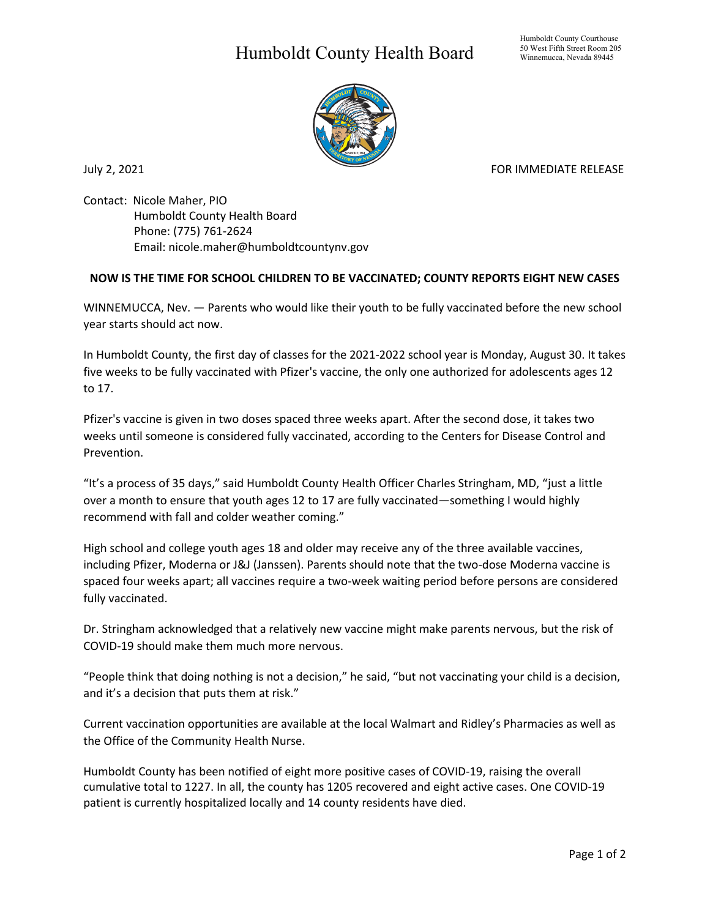## Humboldt County Health Board



July 2, 2021 **FOR IMMEDIATE RELEASE** 

Contact: Nicole Maher, PIO Humboldt County Health Board Phone: (775) 761-2624 Email: nicole.maher@humboldtcountynv.gov

## **NOW IS THE TIME FOR SCHOOL CHILDREN TO BE VACCINATED; COUNTY REPORTS EIGHT NEW CASES**

WINNEMUCCA, Nev. — Parents who would like their youth to be fully vaccinated before the new school year starts should act now.

In Humboldt County, the first day of classes for the 2021-2022 school year is Monday, August 30. It takes five weeks to be fully vaccinated with Pfizer's vaccine, the only one authorized for adolescents ages 12 to 17.

Pfizer's vaccine is given in two doses spaced three weeks apart. After the second dose, it takes two weeks until someone is considered fully vaccinated, according to the Centers for Disease Control and Prevention.

"It's a process of 35 days," said Humboldt County Health Officer Charles Stringham, MD, "just a little over a month to ensure that youth ages 12 to 17 are fully vaccinated—something I would highly recommend with fall and colder weather coming."

High school and college youth ages 18 and older may receive any of the three available vaccines, including Pfizer, Moderna or J&J (Janssen). Parents should note that the two-dose Moderna vaccine is spaced four weeks apart; all vaccines require a two-week waiting period before persons are considered fully vaccinated.

Dr. Stringham acknowledged that a relatively new vaccine might make parents nervous, but the risk of COVID-19 should make them much more nervous.

"People think that doing nothing is not a decision," he said, "but not vaccinating your child is a decision, and it's a decision that puts them at risk."

Current vaccination opportunities are available at the local Walmart and Ridley's Pharmacies as well as the Office of the Community Health Nurse.

Humboldt County has been notified of eight more positive cases of COVID-19, raising the overall cumulative total to 1227. In all, the county has 1205 recovered and eight active cases. One COVID-19 patient is currently hospitalized locally and 14 county residents have died.